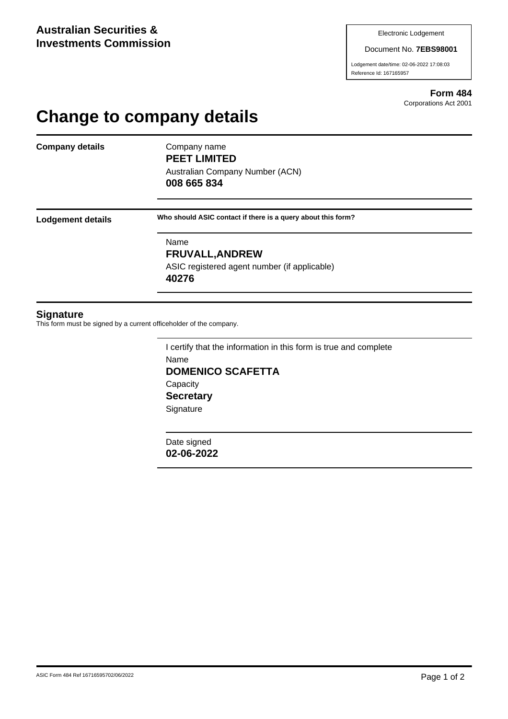Document No. **7EBS98001**

Lodgement date/time: 02-06-2022 17:08:03 Reference Id: 167165957

> **Form 484** Corporations Act 2001

## **Change to company details**

**Company details** Company name

**PEET LIMITED** Australian Company Number (ACN)

**008 665 834**

**Lodgement details Who should ASIC contact if there is a query about this form?**

Name **FRUVALL,ANDREW** ASIC registered agent number (if applicable) **40276**

## **Signature**

This form must be signed by a current officeholder of the company.

I certify that the information in this form is true and complete Name **DOMENICO SCAFETTA Capacity Secretary Signature** 

Date signed **02-06-2022**